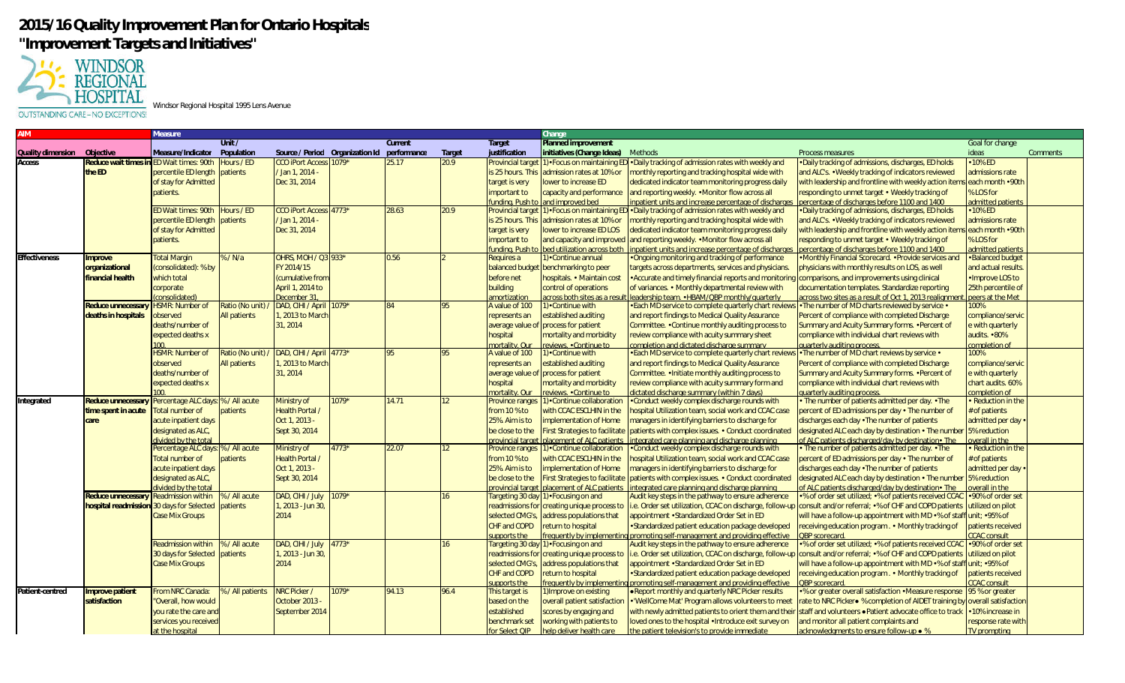## **2015/16 Quality Improvement Plan for Ontario Hospitals "Improvement Targets and Initiatives"**



Windsor Regional Hospital 1995 Lens Avenue

OUTSTANDING CARE-NO EXCEPTIONS!

|                      |                     | Vleasure                  |                     |                                 |         |             |                  |                          | Change                                               |                                                                                                               |                                                                                                              |                       |                 |
|----------------------|---------------------|---------------------------|---------------------|---------------------------------|---------|-------------|------------------|--------------------------|------------------------------------------------------|---------------------------------------------------------------------------------------------------------------|--------------------------------------------------------------------------------------------------------------|-----------------------|-----------------|
|                      |                     |                           | Unit /              |                                 |         | Current     |                  | Target                   | Planned improvement                                  |                                                                                                               |                                                                                                              | Goal for change       |                 |
| Quality dimension    | Objective           | Measure/Indicator         | Population          | Source / Period Organization Id |         | performance | Target           | justification            | initiatives (Change Ideas)                           | Methods                                                                                                       | Process measures                                                                                             | ideas                 | <b>Comments</b> |
| Access               | Reduce wait times   | ED Wait times: 90th       | Hours / ED          | CCO iPort Access 1079*          |         | 25.17       | 20.9             | <b>Provincial target</b> |                                                      | ). Focus on maintaining ED . Daily tracking of admission rates with weekly and                                | . Daily tracking of admissions, discharges, ED holds                                                         | 10% ED                |                 |
|                      | the ED              | percentile ED length      | patients            | Jan 1, 2014 -                   |         |             |                  | is 25 hours. This        | admission rates at 10% or                            | monthly reporting and tracking hospital wide with                                                             | and ALC's. • Weekly tracking of indicators reviewed                                                          | admissions rate       |                 |
|                      |                     | of stay for Admitted      |                     | Dec 31, 2014                    |         |             |                  | target is very           | lower to increase ED                                 | dedicated indicator team monitoring progress daily                                                            | with leadership and frontline with weekly action item                                                        | each month .90th      |                 |
|                      |                     | patients.                 |                     |                                 |         |             |                  | important to             | apacity and performance                              | and reporting weekly. • Monitor flow across all                                                               | responding to unmet target • Weekly tracking of                                                              | <b>% LOS for</b>      |                 |
|                      |                     |                           |                     |                                 |         |             |                  | undina, Push             | and improved bed                                     | inpatient units and increase percentage of discharge                                                          | percentage of discharges before 1100 and 1400                                                                | admitted patient      |                 |
|                      |                     | ED Wait times: 90th       | Hours / ED          | CCO iPort Access 4773*          |         | 28.63       | 20.9             | Provincial targe         |                                                      | ). Focus on maintaining ED . Daily tracking of admission rates with weekly and                                | . Daily tracking of admissions, discharges, ED holds                                                         | •10% ED               |                 |
|                      |                     | percentile ED length      | patients            | Jan 1, 2014 -                   |         |             |                  | is 25 hours. This        | admission rates at 10% or                            | monthly reporting and tracking hospital wide with                                                             | and ALC's. • Weekly tracking of indicators reviewed                                                          | admissions rate       |                 |
|                      |                     | of stay for Admitted      |                     | Dec 31, 2014                    |         |             |                  | target is very           | lower to increase ED LOS                             | dedicated indicator team monitoring progress daily                                                            | with leadership and frontline with weekly action item                                                        | each month .90th      |                 |
|                      |                     | patients.                 |                     |                                 |         |             |                  | mportant to              | and capacity and improved                            | and reporting weekly. • Monitor flow across all                                                               | responding to unmet target • Weekly tracking of                                                              | <b>% LOS for</b>      |                 |
|                      |                     |                           |                     |                                 |         |             |                  | undina, Push             | ned utilization across both                          | inpatient units and increase percentage of discharge                                                          | percentage of discharges before 1100 and 1400                                                                | dmitted patients      |                 |
| <b>Effectiveness</b> | mprove              | <b>Total Margin</b>       | %/N/a               | OHRS. MOH / Q3 933*             |         | 0.56        |                  | Requires a               | <b>Continue annual</b>                               | . Ongoing monitoring and tracking of performance                                                              | •Monthly Financial Scorecard. •Provide services and                                                          | •Balanced budget      |                 |
|                      | prganizational      | (consolidated): % by      |                     | FY 2014/15                      |         |             |                  | balanced budg            | benchmarking to peer                                 | targets across departments, services and physicians.                                                          | physicians with monthly results on LOS, as well                                                              | and actual results    |                 |
|                      | inancial health     | which total               |                     | (cumulative from                |         |             |                  | before net               | hospitals. • Maintain cos                            | • Accurate and timely financial reports and monitoring comparisons, and improvements using clinical           |                                                                                                              | ·Improve LOS to       |                 |
|                      |                     | corporate                 |                     | April 1, 2014 to                |         |             |                  | building                 | control of operations                                | of variances. • Monthly departmental review with                                                              | documentation templates. Standardize reporting                                                               | 25th percentile of    |                 |
|                      |                     | consolidated)             |                     | December 31.                    |         |             |                  | mortization              |                                                      | cross both sites as a result lleadership team. • HBAM/OBP monthly/quarterly                                   | across two sites as a result of Oct 1, 2013 realignment.                                                     | peers at the Met      |                 |
|                      | Reduce unnecessa    | <b>HSMR: Number of</b>    | Ratio (No unit)     | DAD, CIHI / April 1079*         |         | 84          |                  | A value of 100           | ). Continue with                                     | . Each MD service to complete quarterly chart review                                                          | • The number of MD charts reviewed by service •                                                              | 100%                  |                 |
|                      | deaths in hospitals | observed                  | <b>All patients</b> | , 2013 to March                 |         |             |                  | represents an            | stablished auditing                                  | and report findings to Medical Quality Assurance                                                              | Percent of compliance with completed Discharge                                                               | compliance/servic     |                 |
|                      |                     | deaths/number of          |                     | 31, 2014                        |         |             |                  | average value of         | process for patient                                  | Committee. . Continue monthly auditing process to                                                             | Summary and Acuity Summary forms. • Percent of                                                               | e with quarterly      |                 |
|                      |                     | expected deaths x         |                     |                                 |         |             |                  | hospital                 | nortality and morbidity                              | review compliance with acuity summary sheet                                                                   | compliance with individual chart reviews with                                                                | audits. •80%          |                 |
|                      |                     |                           |                     |                                 |         |             |                  | nortality. Our           | eviews. • Continue to                                | completion and dictated discharge summary                                                                     | quarterly auditing process                                                                                   | completion of         |                 |
|                      |                     | <b>HSMR: Number of</b>    | Ratio (No unit)     | DAD, CIHI / April 4773*         |         | 95          | 95               | A value of 100           | Continue with                                        | . Each MD service to complete quarterly chart reviev                                                          | • The number of MD chart reviews by service •                                                                | 100%                  |                 |
|                      |                     | observed                  | <b>All patients</b> | , 2013 to March                 |         |             |                  | represents an            | stablished auditing                                  | and report findings to Medical Quality Assurance                                                              | Percent of compliance with completed Discharge                                                               | compliance/servic     |                 |
|                      |                     | deaths/number of          |                     | 31, 2014                        |         |             |                  | average value of         | process for patient                                  | Committee. . Initiate monthly auditing process to                                                             | Summary and Acuity Summary forms. • Percent of                                                               | e with quarterly      |                 |
|                      |                     | expected deaths x         |                     |                                 |         |             |                  | hospital                 | nortality and morbidity                              | review compliance with acuity summary form and                                                                | compliance with individual chart reviews with                                                                | chart audits. 60%     |                 |
|                      |                     |                           |                     |                                 |         |             |                  | nortality, Our           | eviews . Continue to                                 | dictated discharge summary (within 7 days)                                                                    | quarterly auditing process                                                                                   | completion of         |                 |
| Integrated           | Reduce unnecessar   | Percentage ALC days       | % / All acute       | Ministry of                     | $079*$  | 14.71       | 12 <sup>12</sup> | <b>Province ranges</b>   | ) • Continue collaboration                           | . Conduct weekly complex discharge rounds with                                                                | • The number of patients admitted per day. • The                                                             | • Reduction in the    |                 |
|                      | ime spent in acute  | <b>Total number of</b>    | patients            | <b>Health Portal</b>            |         |             |                  | from 10 % to             | vith CCAC ESCLHIN in the                             | nospital Utilization team, social work and CCAC case                                                          | percent of ED admissions per day • The number of                                                             | # of patients         |                 |
|                      | care                | acute inpatient days      |                     | Oct 1, 2013 -                   |         |             |                  | 25%. Aim is to           | mplementation of Home                                | managers in identifying barriers to discharge for                                                             | discharges each day . The number of patients                                                                 | admitted per day      |                 |
|                      |                     | designated as ALC,        |                     | Sept 30, 2014                   |         |             |                  | be close to the          | irst Strategies to facilitate                        | patients with complex issues. • Conduct coordinated                                                           | designated ALC each day by destination • The number 5% reduction                                             |                       |                 |
|                      |                     | livided by the total      |                     |                                 |         |             |                  | rovincial targe          | lacement of ALC patients                             | ntegrated care planning and discharge planning                                                                | of ALC patients discharged/day by destination. The                                                           | verall in the         |                 |
|                      |                     | Percentage ALC days:      | % / All acute       | Ministry of                     | $1773*$ | 22.07       | 12               | <b>Province ranges</b>   | Continue collaboration                               | •Conduct weekly complex discharge rounds with                                                                 | The number of patients admitted per day. • The                                                               | Reduction in the      |                 |
|                      |                     | <b>Total number of</b>    | patients            | <b>Health Portal</b>            |         |             |                  | from 10 % to             | vith CCAC ESCLHIN in the                             | hospital Utilization team, social work and CCAC case                                                          | percent of ED admissions per day • The number of                                                             | t of patients         |                 |
|                      |                     | acute inpatient days      |                     | Oct 1, 2013 -                   |         |             |                  | 25%. Aim is to           | mplementation of Home                                | managers in identifying barriers to discharge for                                                             | discharges each day • The number of patients                                                                 | admitted per day .    |                 |
|                      |                     | designated as ALC,        |                     | Sept 30, 2014                   |         |             |                  | be close to the          |                                                      | irst Strategies to facilitate patients with complex issues. • Conduct coordinated                             | designated ALC each day by destination • The number                                                          | 5% reduction          |                 |
|                      |                     | livided by the total      |                     |                                 |         |             |                  | rovincial target         | lacement of ALC patients                             | ntegrated care planning and discharge planning                                                                | of ALC patients discharged/day by destination. The                                                           | <b>overall in the</b> |                 |
|                      | Reduce unnecessa    | <b>Readmission within</b> | % / All acute       | DAD, CIHI / July                | $1079*$ |             | 16               | Targeting 30 day         | ) • Focusing on and                                  | Audit key steps in the pathway to ensure adherence                                                            | •% of order set utilized; •% of patients received CCAC                                                       | •90% of order set     |                 |
|                      | hospital readmissio | 130 days for Selected     | patients            | , 2013 - Jun 30,                |         |             |                  |                          | readmissions for creating unique process to          | i.e. Order set utilization, CCAC on discharge, follow-up consult and/or referral; •% of CHF and COPD patients |                                                                                                              | utilized on pilot     |                 |
|                      |                     | <b>Case Mix Groups</b>    |                     | 2014                            |         |             |                  | selected CMG's           | address populations that                             | appointment •Standardized Order Set in ED                                                                     | will have a follow-up appointment with MD •% of staff unit; •95% of                                          |                       |                 |
|                      |                     |                           |                     |                                 |         |             |                  | CHF and COPD             | eturn to hospital                                    | •Standardized patient education package developed                                                             | receiving education program . • Monthly tracking of                                                          | patients received     |                 |
|                      |                     |                           |                     |                                 |         |             |                  | upports the              | reauently by implementi                              | promoting self-management and providing effective                                                             | <b>OBP</b> scorecard                                                                                         | <b>CAC</b> consult    |                 |
|                      |                     | <b>Readmission within</b> | % / All acute       | DAD, CIHI / July                | 4773*   |             | 16               | Targeting 30 day         | 1) • Focusing on and                                 | Audit key steps in the pathway to ensure adherence                                                            | •% of order set utilized: •% of patients received CCAC                                                       | •90% of order set     |                 |
|                      |                     | 30 days for Selected      | patients            | , 2013 - Jun 30,                |         |             |                  | eadmissions fo           | reating unique process to                            |                                                                                                               | e. Order set utilization, CCAC on discharge, follow-up consult and/or referral; •% of CHF and COPD patients. | utilized on pilot     |                 |
|                      |                     | <b>Case Mix Groups</b>    |                     | 2014                            |         |             |                  | selected CMG's           | address populations that                             | appointment •Standardized Order Set in ED                                                                     | will have a follow-up appointment with MD •% of staff unit; •95% of                                          |                       |                 |
|                      |                     |                           |                     |                                 |         |             |                  | CHF and COPD             | return to hospital                                   | • Standardized patient education package developed                                                            | receiving education program . • Monthly tracking of                                                          | patients received     |                 |
|                      |                     |                           |                     |                                 |         |             |                  | upports the              | equently by implement                                | promoting self-management and providing effective                                                             | <b>DRP</b> scorecard                                                                                         | <b>CAC</b> consult    |                 |
| Patient-centred      | mprove patient      | From NRC Canada:          | % / All patients    | NRC Picker /                    | $1079*$ | 94.13       | 96.4             | <b>This target is</b>    | l)Improve on existing                                | . Report monthly and quarterly NRC Picker results                                                             | •% or greater overall satisfaction • Measure response                                                        | 95 % or greater       |                 |
|                      | satisfaction        | "Overall, how would       |                     | October 2013 -                  |         |             |                  | based on the             | overall patient satisfaction                         | . 'WellCome Mat' Program allows volunteers to meet                                                            | rate to NRC Picker● % completion of AIDET training by                                                        | overall satisfaction  |                 |
|                      |                     | you rate the care and     |                     | September 2014                  |         |             |                  | established              | scores by engaging and                               | with newly admitted patients to orient them and their                                                         | staff and volunteers . Patient advocate office to track                                                      | •10% increase in      |                 |
|                      |                     | services you received     |                     |                                 |         |             |                  | benchmark set            |                                                      | loved ones to the hospital . Introduce exit survey on                                                         | and monitor all patient complaints and                                                                       |                       |                 |
|                      |                     |                           |                     |                                 |         |             |                  | or Select OIP            | working with patients to<br>help deliver health care |                                                                                                               |                                                                                                              | response rate with    |                 |
|                      |                     | at the hospital           |                     |                                 |         |             |                  |                          |                                                      | the patient television's to provide immediate                                                                 | acknowledaments to ensure follow-up • %                                                                      | <b>TV</b> prompting   |                 |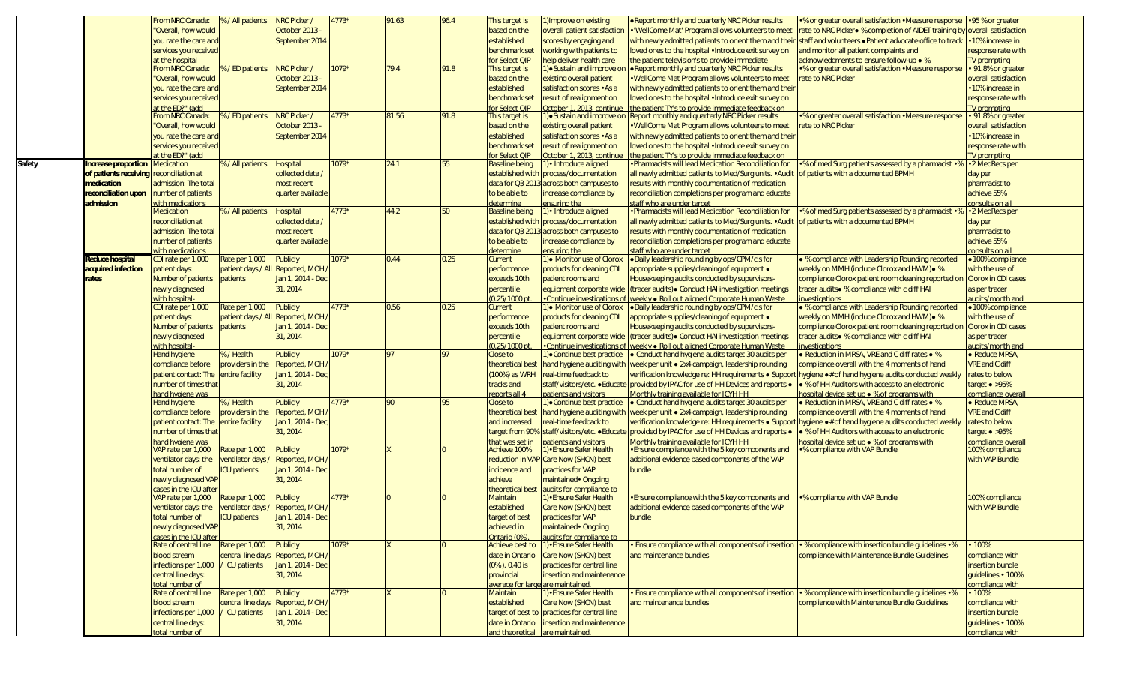|        |                                         | From NRC Canada:                       | %/All patients                    | NRC Picker /      | $4773*$ | 91.63 | 96.4 | This target is                    | 1) Improve on existing                       | . Report monthly and quarterly NRC Picker results                                                                    | •% or greater overall satisfaction • Measure response • 95 % or greater    |                            |  |
|--------|-----------------------------------------|----------------------------------------|-----------------------------------|-------------------|---------|-------|------|-----------------------------------|----------------------------------------------|----------------------------------------------------------------------------------------------------------------------|----------------------------------------------------------------------------|----------------------------|--|
|        |                                         | "Overall, how would                    |                                   | October 2013      |         |       |      | based on the                      | overall patient satisfaction                 | . 'WellCome Mat' Program allows volunteers to meet                                                                   | rate to NRC Picker● % completion of AIDET training by overall satisfaction |                            |  |
|        |                                         | you rate the care and                  |                                   | September 2014    |         |       |      | established                       | scores by engaging and                       | with newly admitted patients to orient them and their                                                                | staff and volunteers . Patient advocate office to track                    | 10% increase in            |  |
|        |                                         | services you received                  |                                   |                   |         |       |      | benchmark set                     | working with patients to                     | loved ones to the hospital • Introduce exit survey on                                                                | and monitor all patient complaints and                                     | esponse rate with          |  |
|        |                                         | at the hospital                        |                                   |                   |         |       |      | or Select OIP                     | help deliver health care                     | the patient television's to provide immediate                                                                        | acknowledgments to ensure follow-up • %                                    | <b>V</b> prompting         |  |
|        |                                         | From NRC Canada:                       | 5 / ED patients                   | NRC Picker /      | 1079*   | 79.4  | 91.8 | This target is                    | l)•Sustain and improve o                     | . Report monthly and quarterly NRC Picker results                                                                    | •% or greater overall satisfaction • Measure response                      | 91.8% or greater           |  |
|        |                                         | "Overall, how would                    |                                   | October 2013      |         |       |      | based on the                      | existing overall patient                     | . WellCome Mat Program allows volunteers to meet                                                                     | rate to NRC Picker                                                         | overall satisfaction       |  |
|        |                                         | you rate the care and                  |                                   | September 2014    |         |       |      | established                       | satisfaction scores .As a                    | with newly admitted patients to orient them and their                                                                |                                                                            | 10% increase in            |  |
|        |                                         | services you received                  |                                   |                   |         |       |      | benchmark set                     | result of realignment on                     | loved ones to the hospital . Introduce exit survey on                                                                |                                                                            | response rate with         |  |
|        |                                         | at the ED?" (add                       |                                   |                   |         |       |      | or Select QIP                     | October 1, 2013, continue                    | the patient TY's to provide immediate feedback on                                                                    |                                                                            | <b>IV</b> prompting        |  |
|        |                                         | From NRC Canada:                       | 6 / ED patients                   | NRC Picker /      | 4773*   | 81.56 | 91.8 | This target is                    | l)•Sustain and improve or                    | Report monthly and quarterly NRC Picker results                                                                      | •% or greater overall satisfaction • Measure response                      | 91.8% or greater           |  |
|        |                                         | "Overall, how would                    |                                   | October 2013      |         |       |      |                                   |                                              |                                                                                                                      | rate to NRC Picker                                                         |                            |  |
|        |                                         |                                        |                                   |                   |         |       |      | based on the                      | existing overall patient                     | . WellCome Mat Program allows volunteers to meet                                                                     |                                                                            | overall satisfactior       |  |
|        |                                         | you rate the care and                  |                                   | September 2014    |         |       |      | established                       | satisfaction scores .As a                    | with newly admitted patients to orient them and their                                                                |                                                                            | 10% increase in            |  |
|        |                                         | services you received                  |                                   |                   |         |       |      | benchmark set                     | result of realignment on                     | loved ones to the hospital • Introduce exit survey on                                                                |                                                                            | response rate with         |  |
|        |                                         | t the ED?" (add                        |                                   |                   |         |       |      | or Select OIP                     | October 1, 2013, continue                    | the patient TY's to provide immediate feedback on                                                                    |                                                                            | <b>V</b> prompting         |  |
| Safety | Increase proportion                     | <b>Medication</b>                      | % / All patients                  | <b>Hospital</b>   | 1079*   | 24.1  | 55   | <b>Baseline being</b>             | 1) • Introduce aligned                       | • Pharmacists will lead Medication Reconciliation for                                                                | •% of med Surg patients assessed by a pharmacist •%                        | •2 MedRecs per             |  |
|        | of patients receiving reconciliation at |                                        |                                   | collected data    |         |       |      | established with                  | process/documentation                        | all newly admitted patients to Med/Surg units. • Audit                                                               | of patients with a documented BPMH                                         | day per                    |  |
|        | medication                              | admission: The total                   |                                   | most recent       |         |       |      | data for Q3 201                   | across both campuses to                      | results with monthly documentation of medication                                                                     |                                                                            | pharmacist to              |  |
|        | reconciliation upon                     | number of patients                     |                                   | quarter available |         |       |      | to be able to                     | increase compliance by                       | reconciliation completions per program and educate                                                                   |                                                                            | achieve 55%                |  |
|        | admission                               | with medications                       |                                   |                   |         |       |      | determine                         | ensuring the                                 | staff who are under target                                                                                           |                                                                            | onsults on al              |  |
|        |                                         | Medication                             | 6 / All patients                  | Hospital          | 4773*   | 44.2  | 50   | <b>Baseline being</b>             | 1) • Introduce aligned                       | . Pharmacists will lead Medication Reconciliation for                                                                | •% of med Surg patients assessed by a pharmacist •%                        | •2 MedRecs per             |  |
|        |                                         | reconciliation at                      |                                   | collected data    |         |       |      | established with                  | process/documentation                        | all newly admitted patients to Med/Surg units. • Audit                                                               | of patients with a documented BPMH                                         | day per                    |  |
|        |                                         | admission: The total                   |                                   | most recent       |         |       |      | data for Q3 201                   | across both campuses to                      | results with monthly documentation of medication                                                                     |                                                                            | pharmacist to              |  |
|        |                                         | number of patients                     |                                   | quarter available |         |       |      | to be able to                     | increase compliance by                       | reconciliation completions per program and educate                                                                   |                                                                            | achieve 55%                |  |
|        |                                         |                                        |                                   |                   |         |       |      |                                   |                                              |                                                                                                                      |                                                                            |                            |  |
|        |                                         | vith medications<br>CDI rate per 1,000 |                                   |                   | $1079*$ | 0.44  | 0.25 | determine                         | ensuring the<br>1) • Monitor use of Clorox   | staff who are under target<br>. Daily leadership rounding by ops/CPM/c's for                                         | . % compliance with Leadership Rounding reported                           | onsults on al              |  |
|        | <b>Reduce hospital</b>                  |                                        | Rate per 1,000                    | <b>Publicly</b>   |         |       |      | Current                           |                                              |                                                                                                                      |                                                                            | ·100% compliance           |  |
|        | acquired infection                      | patient days:                          | patient days / All                | Reported, MOH     |         |       |      | performance                       | products for cleaning CDI                    | appropriate supplies/cleaning of equipment •                                                                         | weekly on MMH (include Clorox and HWM) . %                                 | with the use of            |  |
|        | rates                                   | Number of patients                     | patients                          | lan 1, 2014 - Dec |         |       |      | exceeds 10th                      | patient rooms and                            | Housekeeping audits conducted by supervisors-                                                                        | compliance Clorox patient room cleaning reported on                        | <b>Clorox in CDI cases</b> |  |
|        |                                         | newly diagnosed                        |                                   | 31, 2014          |         |       |      | percentile                        | equipment corporate wide                     | (tracer audits) • Conduct HAI investigation meetings                                                                 | tracer audits • % compliance with c diff HAI                               | as per tracer              |  |
|        |                                         | with hospital                          |                                   |                   |         |       |      | $0.25/1000$ pt                    | Continue investigations of                   | weekly ● Roll out aligned Corporate Human Waste                                                                      | nvestigations                                                              | udits/month and            |  |
|        |                                         | CDI rate per 1,000                     | Rate per 1,000                    | <b>Publicly</b>   | 4773*   | 0.56  | 0.25 | Current                           | 1) • Monitor use of Clorox                   | .Daily leadership rounding by ops/CPM/c's for                                                                        | . % compliance with Leadership Rounding reported                           | •100% compliance           |  |
|        |                                         | patient days:                          | patient days / All Reported, MOH  |                   |         |       |      | performance                       | products for cleaning CDI                    | appropriate supplies/cleaning of equipment •                                                                         | weekly on MMH (include Clorox and HWM) . %                                 | with the use of            |  |
|        |                                         | Number of patients                     | patients                          | Jan 1, 2014 - Dec |         |       |      | exceeds 10th                      | patient rooms and                            | Housekeeping audits conducted by supervisors-                                                                        | compliance Clorox patient room cleaning reported on                        | <b>Clorox in CDI cases</b> |  |
|        |                                         | newly diagnosed                        |                                   | 31, 2014          |         |       |      | percentile                        | equipment corporate wide                     | (tracer audits) • Conduct HAI investigation meetings                                                                 | tracer audits● % compliance with c diff HAI                                | as per tracer              |  |
|        |                                         | with hospital                          |                                   |                   |         |       |      | $0.25/1000$ pt                    | Continue investigations of                   | weekly • Roll out aligned Corporate Human Waste                                                                      | nvestigations                                                              | udits/month ar             |  |
|        |                                         | <b>Hand hygiene</b>                    | 6/Health                          | Publicly          | 1079*   | 97    |      | Close to                          | <b>OContinue best practice</b>               | • Conduct hand hygiene audits target 30 audits per                                                                   | • Reduction in MRSA, VRE and C diff rates • %                              | · Reduce MRSA              |  |
|        |                                         | compliance before                      | providers in the                  | Reported, MOH     |         |       |      | theoretical best                  |                                              | hand hygiene auditing with week per unit • 2x4 campaign, leadership rounding                                         | compliance overall with the 4 moments of hand                              | <b>VRE</b> and C diff      |  |
|        |                                         | patient contact: The                   | entire facility                   | Jan 1, 2014 - Dec |         |       |      | (100%) as WRH                     | real-time feedback to                        | verification knowledge re: HH requirements . Suppor                                                                  |                                                                            | rates to below             |  |
|        |                                         |                                        |                                   |                   |         |       |      |                                   |                                              |                                                                                                                      | hygiene .# of hand hygiene audits conducted weekly                         |                            |  |
|        |                                         | number of times that                   |                                   | 31, 2014          |         |       |      | tracks and                        | staff/visitors/etc. · Educate                | provided by IPAC for use of HH Devices and reports .                                                                 | • % of HH Auditors with access to an electronic                            | target $\bullet$ >95%      |  |
|        |                                         | hand hygiene was                       |                                   |                   |         |       |      | eports all 4                      | patients and visitors                        | Monthly training available for JCYH HH                                                                               | hospital device set up $\bullet$ % of programs with                        | ompliance ove              |  |
|        |                                         | <b>Hand hygiene</b>                    | 6/Health                          | Publicly          | 4773*   | 90    | 95   | Close to                          | 1) Continue best practice                    | • Conduct hand hygiene audits target 30 audits per                                                                   | • Reduction in MRSA, VRE and C diff rates • %                              | • Reduce MRSA              |  |
|        |                                         | compliance before                      | providers in the                  | Reported, MOH     |         |       |      | theoretical best                  |                                              | hand hygiene auditing with week per unit • 2x4 campaign, leadership rounding                                         | compliance overall with the 4 moments of hand                              | VRE and C diff             |  |
|        |                                         | patient contact: The                   | entire facility                   | Jan 1, 2014 - Dec |         |       |      | and increased                     | real-time feedback to                        | verification knowledge re: HH requirements · Support                                                                 | <b>hygiene ● # of hand hygiene audits conducted weekly</b>                 | rates to below             |  |
|        |                                         | number of times that                   |                                   | 31, 2014          |         |       |      | arget from 90%                    | staff/visitors/etc. · Educa                  | provided by IPAC for use of HH Devices and reports .                                                                 | • % of HH Auditors with access to an electronic                            | $target \bullet >95\%$     |  |
|        |                                         | hand hygiene was                       |                                   |                   |         |       |      | hat was set in                    | patients and visitors                        | Monthly training available for JCYH HH                                                                               | hospital device set up • % of programs with                                | compliance over            |  |
|        |                                         | VAP rate per 1.000                     | Rate per 1,000                    | Publicly          | 1079*   |       |      | Achieve 100%                      | 1) • Ensure Safer Health                     | • Ensure compliance with the 5 key components and                                                                    | <b>.</b> % compliance with VAP Bundle                                      | 100% compliance            |  |
|        |                                         | ventilator days: the                   | entilator days /                  | Reported, MOH     |         |       |      |                                   | reduction in VAP Care Now (SHCN) best        | additional evidence based components of the VAP                                                                      |                                                                            | with VAP Bundle            |  |
|        |                                         | total number of                        | CU patients                       | Jan 1, 2014 - Dec |         |       |      | incidence and                     | practices for VAP                            | bundle                                                                                                               |                                                                            |                            |  |
|        |                                         | newly diagnosed VAP                    |                                   | 31, 2014          |         |       |      | achieve                           | maintained • Ongoing                         |                                                                                                                      |                                                                            |                            |  |
|        |                                         | cases in the ICU afte                  |                                   |                   |         |       |      | heoretical best                   | audits for compliance to                     |                                                                                                                      |                                                                            |                            |  |
|        |                                         | VAP rate per 1,000                     | Rate per 1,000                    | Publicly          | $4773*$ |       |      | Maintain                          | 1)•Ensure Safer Health                       | • Ensure compliance with the 5 key components and                                                                    | <b>.</b> % compliance with VAP Bundle                                      | 100% compliance            |  |
|        |                                         | ventilator days: the                   | ventilator days / Reported, MOH / |                   |         |       |      | established                       | Care Now (SHCN) best                         | additional evidence based components of the VAP                                                                      |                                                                            | with VAP Bundle            |  |
|        |                                         |                                        |                                   |                   |         |       |      |                                   |                                              |                                                                                                                      |                                                                            |                            |  |
|        |                                         | total number of                        | <b>ICU</b> patients               | Jan 1, 2014 - Dec |         |       |      | target of best                    | practices for VAP                            | bundle                                                                                                               |                                                                            |                            |  |
|        |                                         | newly diagnosed VAP                    |                                   | 31, 2014          |         |       |      | achieved in                       | maintained • Ongoing                         |                                                                                                                      |                                                                            |                            |  |
|        |                                         | cases in the ICU after                 |                                   |                   |         |       |      | Intario (0%).                     | audits for compliance to                     |                                                                                                                      |                                                                            |                            |  |
|        |                                         | Rate of central line                   | Rate per 1,000                    | Publicly          | 1079*   |       |      | Achieve best to                   | 1) • Ensure Safer Health                     | • Ensure compliance with all components of insertion $\cdot$ % compliance with insertion bundle quidelines $\cdot$ % |                                                                            | 100%                       |  |
|        |                                         | blood stream                           | central line days                 | Reported, MOH /   |         |       |      | date in Ontario                   | Care Now (SHCN) best                         | and maintenance bundles                                                                                              | compliance with Maintenance Bundle Guidelines                              | compliance with            |  |
|        |                                         | infections per 1,000                   | / ICU patients                    | Jan 1, 2014 - Dec |         |       |      | $(0\%$ ). 0.40 is                 | practices for central line                   |                                                                                                                      |                                                                            | insertion bundle           |  |
|        |                                         | central line days:                     |                                   | 31, 2014          |         |       |      | provincial                        | insertion and maintenance                    |                                                                                                                      |                                                                            | quidelines · 100%          |  |
|        |                                         | total number of                        |                                   |                   |         |       |      | average for large are maintained. |                                              |                                                                                                                      |                                                                            | compliance with            |  |
|        |                                         | Rate of central line                   | Rate per 1,000                    | <b>Publicly</b>   | $4773*$ |       |      | Maintain                          | 1) • Ensure Safer Health                     | • Ensure compliance with all components of insertion $\cdot$ % compliance with insertion bundle quidelines $\cdot$ % |                                                                            | 100%                       |  |
|        |                                         | blood stream                           | central line days Reported, MOH,  |                   |         |       |      | established                       | Care Now (SHCN) best                         | and maintenance bundles                                                                                              | compliance with Maintenance Bundle Guidelines                              | compliance with            |  |
|        |                                         | infections per 1,000 / ICU patients    |                                   | Jan 1, 2014 - Dec |         |       |      |                                   | target of best to practices for central line |                                                                                                                      |                                                                            | insertion bundle           |  |
|        |                                         | central line days:                     |                                   | 31, 2014          |         |       |      | date in Ontario                   | insertion and maintenance                    |                                                                                                                      |                                                                            | quidelines • 100%          |  |
|        |                                         | total number of                        |                                   |                   |         |       |      | and theoretical are maintained.   |                                              |                                                                                                                      |                                                                            | compliance with            |  |
|        |                                         |                                        |                                   |                   |         |       |      |                                   |                                              |                                                                                                                      |                                                                            |                            |  |